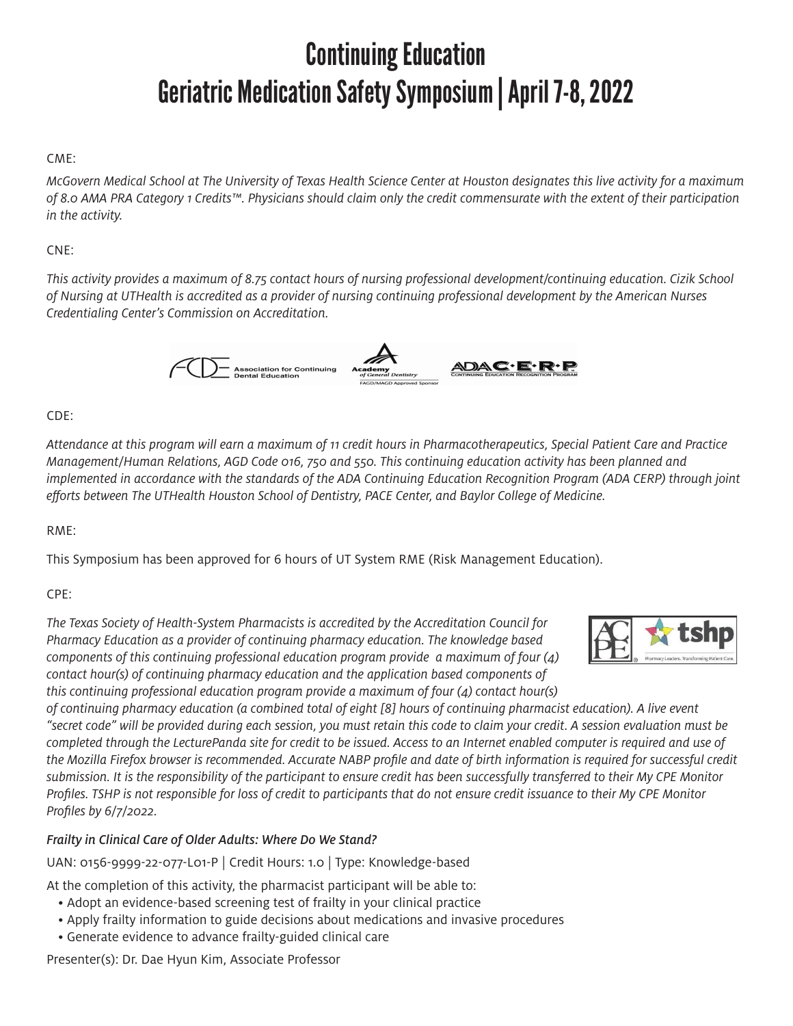# Continuing Education Geriatric Medication Safety Symposium | April 7-8, 2022

### CME:

*McGovern Medical School at The University of Texas Health Science Center at Houston designates this live activity for a maximum of 8.0 AMA PRA Category 1 Credits™. Physicians should claim only the credit commensurate with the extent of their participation in the activity.*

### CNE:

*This activity provides a maximum of 8.75 contact hours of nursing professional development/continuing education. Cizik School of Nursing at UTHealth is accredited as a provider of nursing continuing professional development by the American Nurses Credentialing Center's Commission on Accreditation.*



#### CDE:

*Attendance at this program will earn a maximum of 11 credit hours in Pharmacotherapeutics, Special Patient Care and Practice Management/Human Relations, AGD Code 016, 750 and 550. This continuing education activity has been planned and implemented in accordance with the standards of the ADA Continuing Education Recognition Program (ADA CERP) through joint efforts between The UTHealth Houston School of Dentistry, PACE Center, and Baylor College of Medicine.*

#### RME:

This Symposium has been approved for 6 hours of UT System RME (Risk Management Education).

### CPE:

*The Texas Society of Health-System Pharmacists is accredited by the Accreditation Council for Pharmacy Education as a provider of continuing pharmacy education. The knowledge based components of this continuing professional education program provide a maximum of four (4) contact hour(s) of continuing pharmacy education and the application based components of this continuing professional education program provide a maximum of four (4) contact hour(s)* 

*of continuing pharmacy education (a combined total of eight [8] hours of continuing pharmacist education). A live event "secret code" will be provided during each session, you must retain this code to claim your credit. A session evaluation must be completed through the LecturePanda site for credit to be issued. Access to an Internet enabled computer is required and use of the Mozilla Firefox browser is recommended. Accurate NABP profile and date of birth information is required for successful credit submission. It is the responsibility of the participant to ensure credit has been successfully transferred to their My CPE Monitor Profiles. TSHP is not responsible for loss of credit to participants that do not ensure credit issuance to their My CPE Monitor Profiles by 6/7/2022.*

### *Frailty in Clinical Care of Older Adults: Where Do We Stand?*

UAN: 0156-9999-22-077-L01-P | Credit Hours: 1.0 | Type: Knowledge-based

At the completion of this activity, the pharmacist participant will be able to:

- Adopt an evidence-based screening test of frailty in your clinical practice
- Apply frailty information to guide decisions about medications and invasive procedures
- Generate evidence to advance frailty-guided clinical care

Presenter(s): Dr. Dae Hyun Kim, Associate Professor